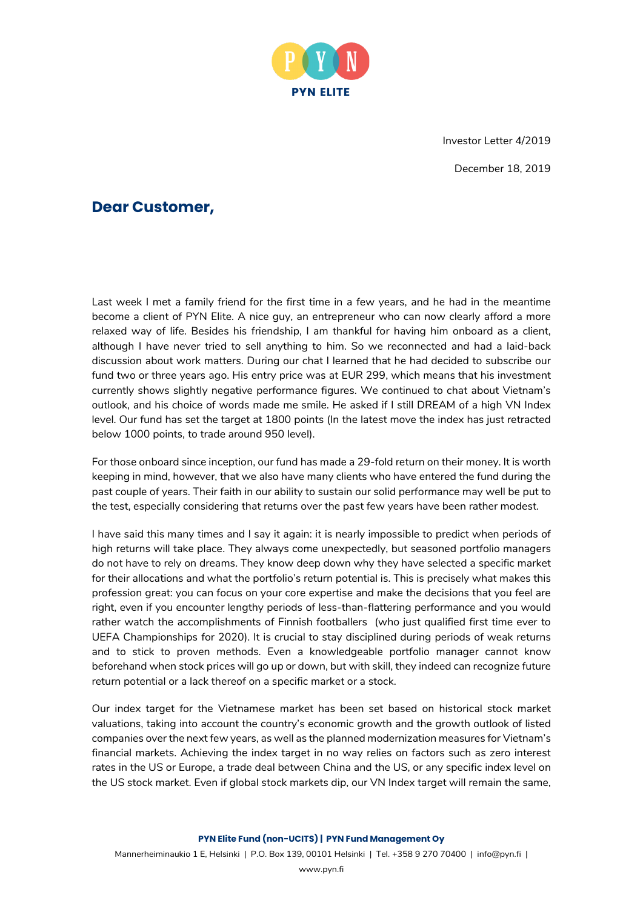

Investor Letter 4/2019

December 18, 2019

## **Dear Customer,**

Last week I met a family friend for the first time in a few years, and he had in the meantime become a client of PYN Elite. A nice guy, an entrepreneur who can now clearly afford a more relaxed way of life. Besides his friendship, I am thankful for having him onboard as a client, although I have never tried to sell anything to him. So we reconnected and had a laid-back discussion about work matters. During our chat I learned that he had decided to subscribe our fund two or three years ago. His entry price was at EUR 299, which means that his investment currently shows slightly negative performance figures. We continued to chat about Vietnam's outlook, and his choice of words made me smile. He asked if I still DREAM of a high VN Index level. Our fund has set the target at 1800 points (In the latest move the index has just retracted below 1000 points, to trade around 950 level).

For those onboard since inception, our fund has made a 29-fold return on their money. It is worth keeping in mind, however, that we also have many clients who have entered the fund during the past couple of years. Their faith in our ability to sustain our solid performance may well be put to the test, especially considering that returns over the past few years have been rather modest.

I have said this many times and I say it again: it is nearly impossible to predict when periods of high returns will take place. They always come unexpectedly, but seasoned portfolio managers do not have to rely on dreams. They know deep down why they have selected a specific market for their allocations and what the portfolio's return potential is. This is precisely what makes this profession great: you can focus on your core expertise and make the decisions that you feel are right, even if you encounter lengthy periods of less-than-flattering performance and you would rather watch the accomplishments of Finnish footballers (who just qualified first time ever to UEFA Championships for 2020). It is crucial to stay disciplined during periods of weak returns and to stick to proven methods. Even a knowledgeable portfolio manager cannot know beforehand when stock prices will go up or down, but with skill, they indeed can recognize future return potential or a lack thereof on a specific market or a stock.

Our index target for the Vietnamese market has been set based on historical stock market valuations, taking into account the country's economic growth and the growth outlook of listed companies over the next few years, as well as the planned modernization measures for Vietnam's financial markets. Achieving the index target in no way relies on factors such as zero interest rates in the US or Europe, a trade deal between China and the US, or any specific index level on the US stock market. Even if global stock markets dip, our VN Index target will remain the same,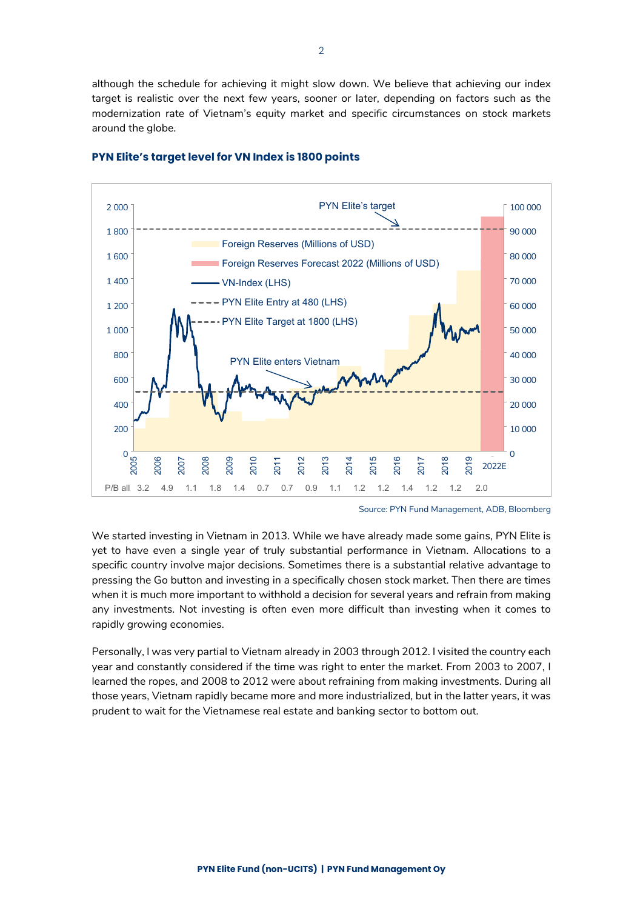although the schedule for achieving it might slow down. We believe that achieving our index target is realistic over the next few years, sooner or later, depending on factors such as the modernization rate of Vietnam's equity market and specific circumstances on stock markets around the globe.



## **PYN Elite's target level for VN Index is 1800 points**

Source: PYN Fund Management, ADB, Bloomberg

We started investing in Vietnam in 2013. While we have already made some gains, PYN Elite is yet to have even a single year of truly substantial performance in Vietnam. Allocations to a specific country involve major decisions. Sometimes there is a substantial relative advantage to pressing the Go button and investing in a specifically chosen stock market. Then there are times when it is much more important to withhold a decision for several years and refrain from making any investments. Not investing is often even more difficult than investing when it comes to rapidly growing economies.

Personally, I was very partial to Vietnam already in 2003 through 2012. I visited the country each year and constantly considered if the time was right to enter the market. From 2003 to 2007, I learned the ropes, and 2008 to 2012 were about refraining from making investments. During all those years, Vietnam rapidly became more and more industrialized, but in the latter years, it was prudent to wait for the Vietnamese real estate and banking sector to bottom out.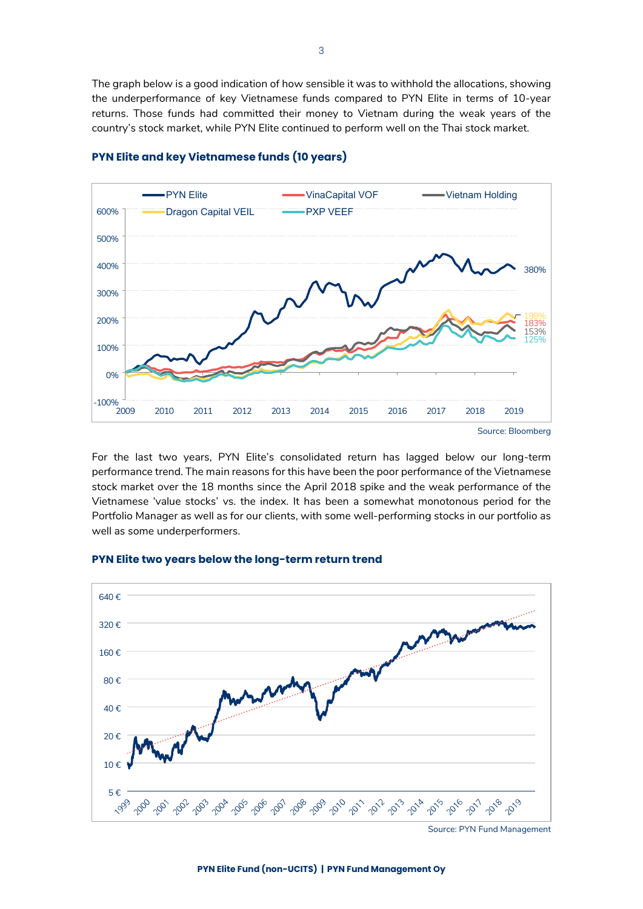The graph below is a good indication of how sensible it was to withhold the allocations, showing the underperformance of key Vietnamese funds compared to PYN Elite in terms of 10-year returns. Those funds had committed their money to Vietnam during the weak years of the country's stock market, while PYN Elite continued to perform well on the Thai stock market.



### **PYN Elite and key Vietnamese funds (10 years)**

For the last two years, PYN Elite's consolidated return has lagged below our long-term performance trend. The main reasons for this have been the poor performance of the Vietnamese stock market over the 18 months since the April 2018 spike and the weak performance of the Vietnamese 'value stocks' vs. the index. It has been a somewhat monotonous period for the Portfolio Manager as well as for our clients, with some well-performing stocks in our portfolio as well as some underperformers.

## 80 € 160 € 320 € 640 €

## **PYN Elite two years below the long-term return trend**



Source: PYN Fund Management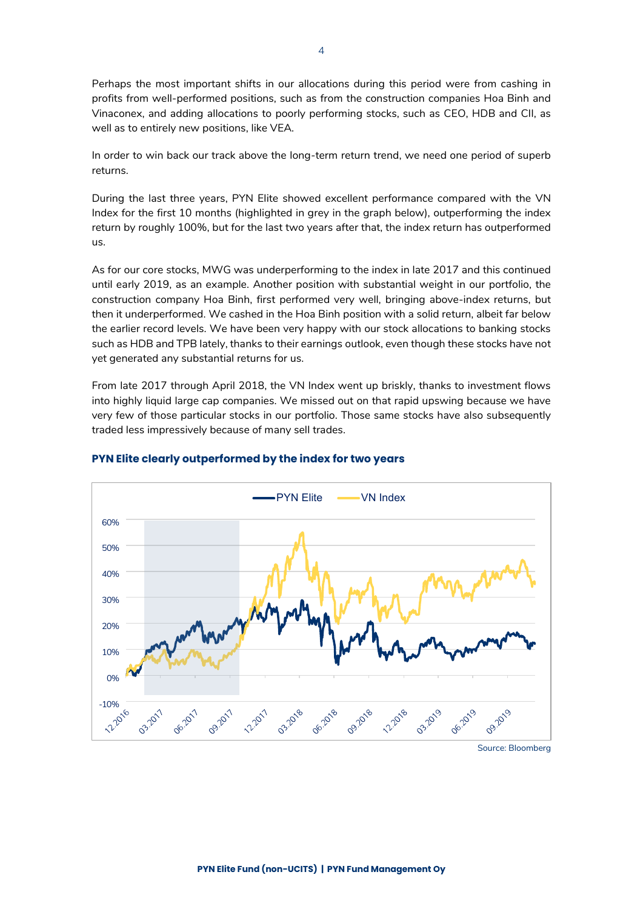Perhaps the most important shifts in our allocations during this period were from cashing in profits from well-performed positions, such as from the construction companies Hoa Binh and Vinaconex, and adding allocations to poorly performing stocks, such as CEO, HDB and CII, as well as to entirely new positions, like VEA.

In order to win back our track above the long-term return trend, we need one period of superb returns.

During the last three years, PYN Elite showed excellent performance compared with the VN Index for the first 10 months (highlighted in grey in the graph below), outperforming the index return by roughly 100%, but for the last two years after that, the index return has outperformed us.

As for our core stocks, MWG was underperforming to the index in late 2017 and this continued until early 2019, as an example. Another position with substantial weight in our portfolio, the construction company Hoa Binh, first performed very well, bringing above-index returns, but then it underperformed. We cashed in the Hoa Binh position with a solid return, albeit far below the earlier record levels. We have been very happy with our stock allocations to banking stocks such as HDB and TPB lately, thanks to their earnings outlook, even though these stocks have not yet generated any substantial returns for us.

From late 2017 through April 2018, the VN Index went up briskly, thanks to investment flows into highly liquid large cap companies. We missed out on that rapid upswing because we have very few of those particular stocks in our portfolio. Those same stocks have also subsequently traded less impressively because of many sell trades.



## **PYN Elite clearly outperformed by the index for two years**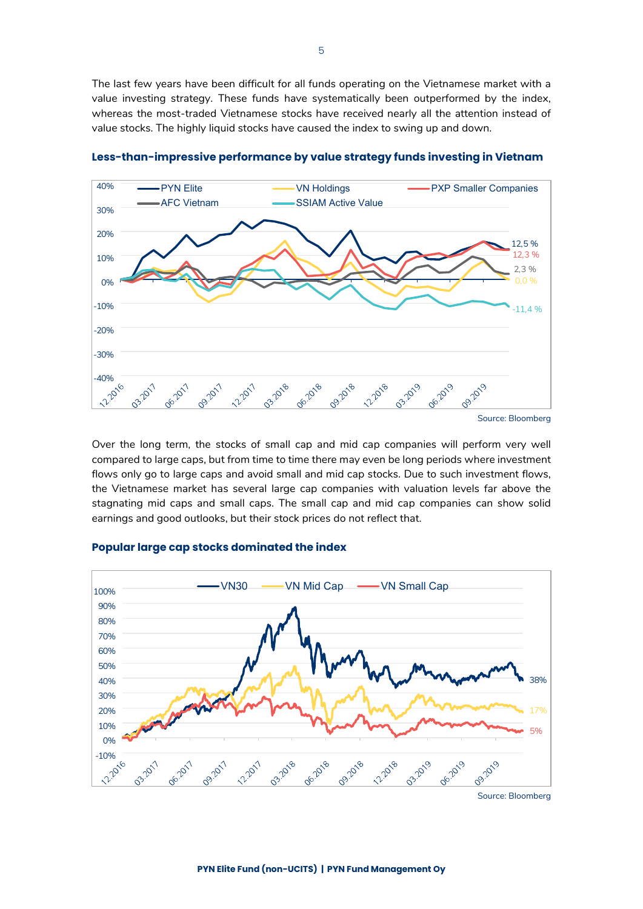The last few years have been difficult for all funds operating on the Vietnamese market with a value investing strategy. These funds have systematically been outperformed by the index, whereas the most-traded Vietnamese stocks have received nearly all the attention instead of value stocks. The highly liquid stocks have caused the index to swing up and down.



**Less-than-impressive performance by value strategy funds investing in Vietnam**

Over the long term, the stocks of small cap and mid cap companies will perform very well compared to large caps, but from time to time there may even be long periods where investment flows only go to large caps and avoid small and mid cap stocks. Due to such investment flows, the Vietnamese market has several large cap companies with valuation levels far above the stagnating mid caps and small caps. The small cap and mid cap companies can show solid earnings and good outlooks, but their stock prices do not reflect that.



### **Popular large cap stocks dominated the index**

Source: Bloomberg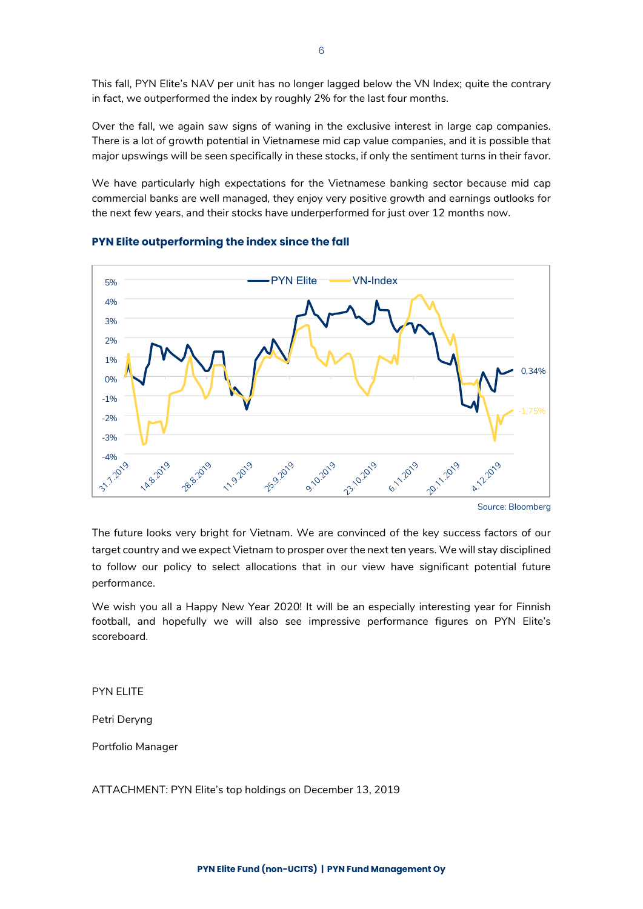This fall, PYN Elite's NAV per unit has no longer lagged below the VN Index; quite the contrary in fact, we outperformed the index by roughly 2% for the last four months.

Over the fall, we again saw signs of waning in the exclusive interest in large cap companies. There is a lot of growth potential in Vietnamese mid cap value companies, and it is possible that major upswings will be seen specifically in these stocks, if only the sentiment turns in their favor.

We have particularly high expectations for the Vietnamese banking sector because mid cap commercial banks are well managed, they enjoy very positive growth and earnings outlooks for the next few years, and their stocks have underperformed for just over 12 months now.



## **PYN Elite outperforming the index since the fall**

Source: Bloomberg

The future looks very bright for Vietnam. We are convinced of the key success factors of our target country and we expect Vietnam to prosper over the next ten years. We will stay disciplined to follow our policy to select allocations that in our view have significant potential future performance.

We wish you all a Happy New Year 2020! It will be an especially interesting year for Finnish football, and hopefully we will also see impressive performance figures on PYN Elite's scoreboard.

## PYN ELITE

Petri Deryng

Portfolio Manager

ATTACHMENT: PYN Elite's top holdings on December 13, 2019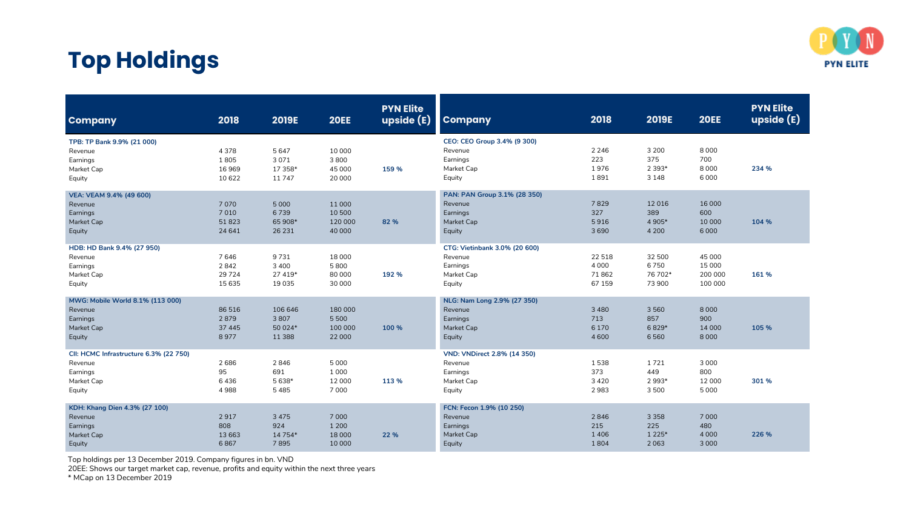

# **Top Holdings**

| <b>Company</b>                                                                        | 2018                              | <b>2019E</b>                           | <b>20EE</b>                             | <b>PYN Elite</b><br><b>upside (E)</b> | <b>Company</b>                                                                    | 2018                                  | 2019E                                 | <b>20EE</b>                            | <b>PYN Elite</b><br>upside (E) |
|---------------------------------------------------------------------------------------|-----------------------------------|----------------------------------------|-----------------------------------------|---------------------------------------|-----------------------------------------------------------------------------------|---------------------------------------|---------------------------------------|----------------------------------------|--------------------------------|
| TPB: TP Bank 9.9% (21 000)<br>Revenue<br>Earnings<br>Market Cap<br>Equity             | 4378<br>1805<br>16969<br>10 622   | 5647<br>3071<br>17 358*<br>11747       | 10 000<br>3800<br>45 000<br>20 000      | 159 %                                 | CEO: CEO Group 3.4% (9 300)<br>Revenue<br>Earnings<br>Market Cap<br>Equity        | 2 2 4 6<br>223<br>1976<br>1891        | 3 2 0 0<br>375<br>2 3 9 3*<br>3 1 4 8 | 8000<br>700<br>8 0 0 0<br>6000         | 234 %                          |
| VEA: VEAM 9.4% (49 600)<br>Revenue<br>Earnings<br>Market Cap<br>Equity                | 7070<br>7010<br>51823<br>24 641   | 5 0 0 0<br>6739<br>65 908*<br>26 23 1  | 11 000<br>10 500<br>120 000<br>40 000   | 82 %                                  | PAN: PAN Group 3.1% (28 350)<br>Revenue<br>Earnings<br>Market Cap<br>Equity       | 7829<br>327<br>5916<br>3690           | 12016<br>389<br>4 9 0 5*<br>4 2 0 0   | 16 000<br>600<br>10 000<br>6000        | 104 %                          |
| HDB: HD Bank 9.4% (27 950)<br>Revenue<br>Earnings<br>Market Cap<br>Equity             | 7646<br>2842<br>29 7 24<br>15 635 | 9731<br>3 4 0 0<br>27 419*<br>19 0 35  | 18 000<br>5800<br>80 000<br>30 000      | 192 %                                 | CTG: Vietinbank 3.0% (20 600)<br>Revenue<br>Earnings<br>Market Cap<br>Equity      | 22 5 18<br>4 0 0 0<br>71862<br>67 159 | 32 500<br>6750<br>76 702*<br>73 900   | 45 000<br>15 000<br>200 000<br>100 000 | 161 %                          |
| MWG: Mobile World 8.1% (113 000)<br>Revenue<br>Earnings<br>Market Cap<br>Equity       | 86 516<br>2879<br>37 445<br>8977  | 106 646<br>3807<br>50 024*<br>11 3 8 8 | 180 000<br>5 5 0 0<br>100 000<br>22 000 | 100 %                                 | NLG: Nam Long 2.9% (27 350)<br>Revenue<br>Earnings<br>Market Cap<br>Equity        | 3 4 8 0<br>713<br>6 1 7 0<br>4 600    | 3 5 6 0<br>857<br>6829*<br>6560       | 8 0 0 0<br>900<br>14 000<br>8 0 0 0    | 105 %                          |
| CII: HCMC Infrastructure 6.3% (22 750)<br>Revenue<br>Earnings<br>Market Cap<br>Equity | 2686<br>95<br>6436<br>4988        | 2846<br>691<br>5638*<br>5485           | 5 0 0 0<br>1000<br>12 000<br>7 0 0 0    | 113 %                                 | <b>VND: VNDirect 2.8% (14 350)</b><br>Revenue<br>Earnings<br>Market Cap<br>Equity | 1538<br>373<br>3 4 2 0<br>2983        | 1721<br>449<br>2 9 9 3*<br>3500       | 3 0 0 0<br>800<br>12 000<br>5 0 0 0    | 301 %                          |
| KDH: Khang Dien 4.3% (27 100)<br>Revenue<br>Earnings<br>Market Cap<br>Equity          | 2917<br>808<br>13 663<br>6867     | 3 4 7 5<br>924<br>14 7 54*<br>7895     | 7 0 0 0<br>1 2 0 0<br>18 000<br>10 000  | 22 %                                  | FCN: Fecon 1.9% (10 250)<br>Revenue<br>Earnings<br>Market Cap<br>Equity           | 2846<br>215<br>1 4 0 6<br>1804        | 3 3 5 8<br>225<br>1 2 2 5*<br>2063    | 7 0 0 0<br>480<br>4 0 0 0<br>3 0 0 0   | 226 %                          |

Top holdings per 13 December 2019. Company figures in bn. VND

20EE: Shows our target market cap, revenue, profits and equity within the next three years

\* MCap on 13 December 2019